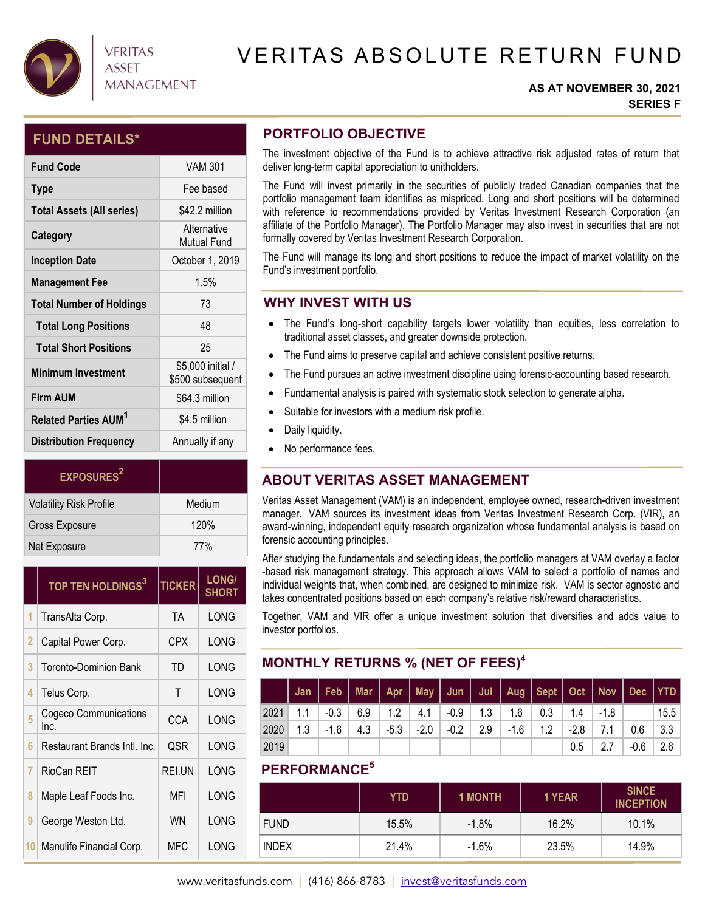

## **VERITAS ASSET MANAGEMENT**

# VERITAS ABSOLUTE RETURN FUND

#### **AS AT NOVEMBER 30, 2021 SERIES F**

### **FUND DETAILS\***

| <b>Fund Code</b>                       | <b>VAM 301</b>                        |
|----------------------------------------|---------------------------------------|
| <b>Type</b>                            | Fee based                             |
| <b>Total Assets (All series)</b>       | \$42.2 million                        |
| Category                               | Alternative<br><b>Mutual Fund</b>     |
| <b>Inception Date</b>                  | October 1, 2019                       |
| <b>Management Fee</b>                  | 1.5%                                  |
| <b>Total Number of Holdings</b>        | 73                                    |
| <b>Total Long Positions</b>            | 48                                    |
| <b>Total Short Positions</b>           | 25                                    |
| <b>Minimum Investment</b>              | \$5,000 initial /<br>\$500 subsequent |
| <b>Firm AUM</b>                        | \$64.3 million                        |
| <b>Related Parties AUM<sup>1</sup></b> | \$4.5 million                         |
| <b>Distribution Frequency</b>          | Annually if any                       |

| <b>EXPOSURES</b> <sup>2</sup>  |        |
|--------------------------------|--------|
| <b>Volatility Risk Profile</b> | Medium |
| <b>Gross Exposure</b>          | 120%   |
| Net Exposure                   | 77%    |

|    | TOP TEN HOLDINGS <sup>3</sup> | <b>TICKER</b> | <b>LONG/</b><br><b>SHORT</b> |
|----|-------------------------------|---------------|------------------------------|
| 1  | TransAlta Corp.               | TA.           | LONG                         |
| 2  | Capital Power Corp.           | CPX           | LONG                         |
| 3  | Toronto-Dominion Bank         | TD            | LONG                         |
| 4  | Telus Corp.                   | Τ             | LONG                         |
| 5  | Cogeco Communications<br>Inc. | CCA           | LONG                         |
| 6  | Restaurant Brands Intl. Inc.  | QSR           | LONG                         |
| 7  | RioCan REIT                   | <b>REI.UN</b> | LONG                         |
| 8  | Maple Leaf Foods Inc.         | MFI           | LONG                         |
| 9  | George Weston Ltd.            | <b>WN</b>     | LONG                         |
| 10 | Manulife Financial Corp.      | MFC           | LONG                         |

## **PORTFOLIO OBJECTIVE**

The investment objective of the Fund is to achieve attractive risk adjusted rates of return that deliver long-term capital appreciation to unitholders.

The Fund will invest primarily in the securities of publicly traded Canadian companies that the portfolio management team identifies as mispriced. Long and short positions will be determined with reference to recommendations provided by Veritas Investment Research Corporation (an affiliate of the Portfolio Manager). The Portfolio Manager may also invest in securities that are not formally covered by Veritas Investment Research Corporation.

The Fund will manage its long and short positions to reduce the impact of market volatility on the Fund's investment portfolio.

## **WHY INVEST WITH US**

- The Fund's long-short capability targets lower volatility than equities, less correlation to traditional asset classes, and greater downside protection.
- The Fund aims to preserve capital and achieve consistent positive returns.
- The Fund pursues an active investment discipline using forensic-accounting based research.
- Fundamental analysis is paired with systematic stock selection to generate alpha.
- Suitable for investors with a medium risk profile.
- Daily liquidity.
- No performance fees.

## **ABOUT VERITAS ASSET MANAGEMENT**

Veritas Asset Management (VAM) is an independent, employee owned, research-driven investment manager. VAM sources its investment ideas from Veritas Investment Research Corp. (VIR), an award-winning, independent equity research organization whose fundamental analysis is based on forensic accounting principles.

After studying the fundamentals and selecting ideas, the portfolio managers at VAM overlay a factor -based risk management strategy. This approach allows VAM to select a portfolio of names and individual weights that, when combined, are designed to minimize risk. VAM is sector agnostic and takes concentrated positions based on each company's relative risk/reward characteristics.

Together, VAM and VIR offer a unique investment solution that diversifies and adds value to investor portfolios.

## **MONTHLY RETURNS % (NET OF FEES)4**

|      |     | Jan   Feb   Mar   Apr   May   Jun   Jul   Aug   Sept   Oct   Nov   Dec   YTD |     |               |        |              |                                                     |        |                |      |      |
|------|-----|------------------------------------------------------------------------------|-----|---------------|--------|--------------|-----------------------------------------------------|--------|----------------|------|------|
| 2021 | 1.1 |                                                                              |     |               |        |              | $-0.3$   6.9   1.2   4.1   $-0.9$   1.3   1.6   0.3 |        | $1.4$   $-1.8$ |      | 15.5 |
| 2020 | 1.3 | -1.6                                                                         | 4.3 | $-5.3$ $-2.0$ | $-0.2$ | $2.9$ $-1.6$ | 1.2                                                 | $-2.8$ |                | 0.6  | -3.3 |
| 2019 |     |                                                                              |     |               |        |              |                                                     | 0.5    | 2.7            | -0.6 |      |

### **PERFORMANCE5**

|              | YTD.  | <b>1 MONTH</b> | 1 YEAR | <b>SINCE</b><br><b>INCEPTION</b> |
|--------------|-------|----------------|--------|----------------------------------|
| <b>FUND</b>  | 15.5% | $-1.8\%$       | 16.2%  | 10.1%                            |
| <b>INDEX</b> | 21.4% | $-1.6\%$       | 23.5%  | 14.9%                            |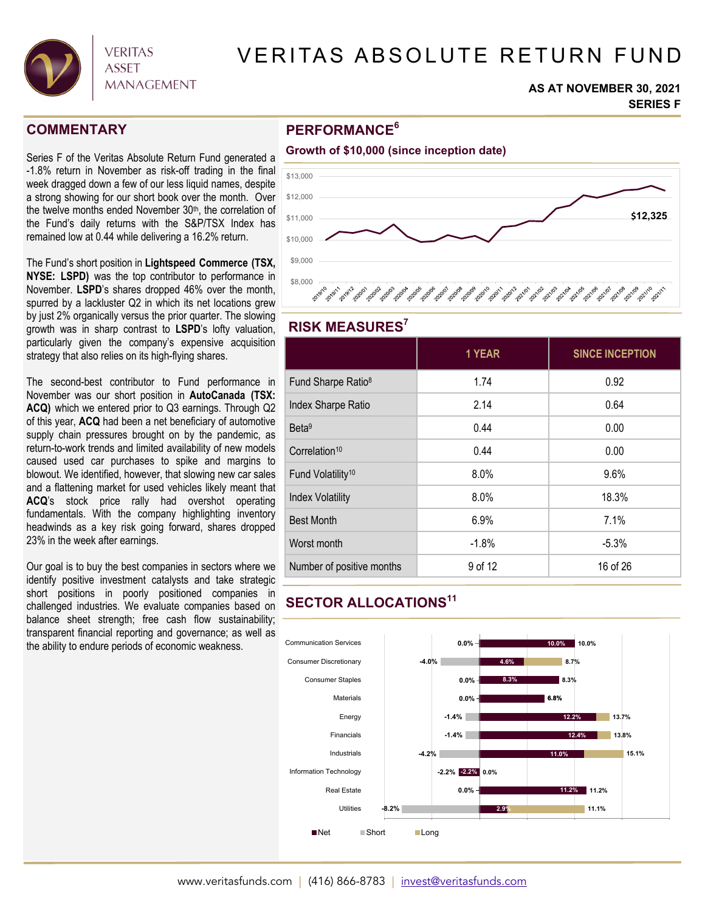

# VERITAS ABSOLUTE RETURN FUND

#### **AS AT NOVEMBER 30, 2021 SERIES F**

### **COMMENTARY**

Series F of the Veritas Absolute Return Fund generated a -1.8% return in November as risk-off trading in the final week dragged down a few of our less liquid names, despite a strong showing for our short book over the month. Over the twelve months ended November 30<sup>th</sup>, the correlation of the Fund's daily returns with the S&P/TSX Index has remained low at 0.44 while delivering a 16.2% return.

The Fund's short position in **Lightspeed Commerce (TSX, NYSE: LSPD)** was the top contributor to performance in November. **LSPD**'s shares dropped 46% over the month, spurred by a lackluster Q2 in which its net locations grew by just 2% organically versus the prior quarter. The slowing growth was in sharp contrast to **LSPD**'s lofty valuation, particularly given the company's expensive acquisition strategy that also relies on its high-flying shares.

The second-best contributor to Fund performance in November was our short position in **AutoCanada (TSX: ACQ)** which we entered prior to Q3 earnings. Through Q2 of this year, **ACQ** had been a net beneficiary of automotive supply chain pressures brought on by the pandemic, as return-to-work trends and limited availability of new models caused used car purchases to spike and margins to blowout. We identified, however, that slowing new car sales and a flattening market for used vehicles likely meant that **ACQ**'s stock price rally had overshot operating fundamentals. With the company highlighting inventory headwinds as a key risk going forward, shares dropped 23% in the week after earnings.

Our goal is to buy the best companies in sectors where we identify positive investment catalysts and take strategic short positions in poorly positioned companies in challenged industries. We evaluate companies based on balance sheet strength; free cash flow sustainability; transparent financial reporting and governance; as well as the ability to endure periods of economic weakness.

### **PERFORMANCE6**



### **RISK MEASURES7**

|                                | 1 YEAR  | <b>SINCE INCEPTION</b> |
|--------------------------------|---------|------------------------|
| Fund Sharpe Ratio <sup>8</sup> | 1.74    | 0.92                   |
| Index Sharpe Ratio             | 2.14    | 0.64                   |
| Beta <sup>9</sup>              | 0.44    | 0.00                   |
| Correlation <sup>10</sup>      | 0.44    | 0.00                   |
| Fund Volatility <sup>10</sup>  | 8.0%    | 9.6%                   |
| <b>Index Volatility</b>        | 8.0%    | 18.3%                  |
| <b>Best Month</b>              | 6.9%    | 7.1%                   |
| Worst month                    | $-1.8%$ | $-5.3%$                |
| Number of positive months      | 9 of 12 | 16 of 26               |

## **SECTOR ALLOCATIONS11**